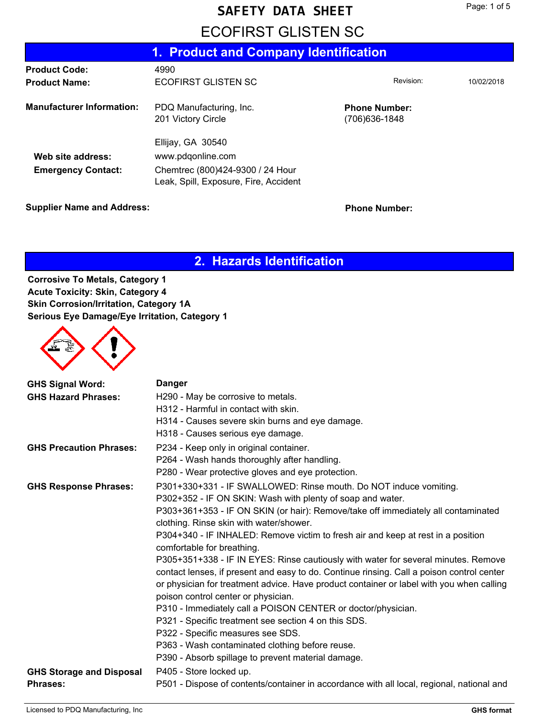## **SAFETY DATA SHEET**

## **ECOFIRST GLISTEN SC**

|                                                | 1. Product and Company Identification                                                                               |                                        |            |  |  |
|------------------------------------------------|---------------------------------------------------------------------------------------------------------------------|----------------------------------------|------------|--|--|
| <b>Product Code:</b>                           | 4990                                                                                                                |                                        |            |  |  |
| <b>Product Name:</b>                           | ECOFIRST GLISTEN SC                                                                                                 | Revision:                              | 10/02/2018 |  |  |
| <b>Manufacturer Information:</b>               | PDQ Manufacturing, Inc.<br>201 Victory Circle                                                                       | <b>Phone Number:</b><br>(706) 636-1848 |            |  |  |
| Web site address:<br><b>Emergency Contact:</b> | Ellijay, GA 30540<br>www.pdqonline.com<br>Chemtrec (800)424-9300 / 24 Hour<br>Leak, Spill, Exposure, Fire, Accident |                                        |            |  |  |

**Supplier Name and Address: Phone Number: Phone Number:** 

### **2. Hazards Identification**

**Corrosive To Metals, Category 1 Acute Toxicity: Skin, Category 4 Skin Corrosion/Irritation, Category 1A Serious Eye Damage/Eye Irritation, Category 1**



| <b>GHS Signal Word:</b>         | <b>Danger</b>                                                                             |
|---------------------------------|-------------------------------------------------------------------------------------------|
| <b>GHS Hazard Phrases:</b>      | H290 - May be corrosive to metals.                                                        |
|                                 | H312 - Harmful in contact with skin.                                                      |
|                                 | H314 - Causes severe skin burns and eye damage.                                           |
|                                 | H318 - Causes serious eye damage.                                                         |
| <b>GHS Precaution Phrases:</b>  | P234 - Keep only in original container.                                                   |
|                                 | P264 - Wash hands thoroughly after handling.                                              |
|                                 | P280 - Wear protective gloves and eye protection.                                         |
| <b>GHS Response Phrases:</b>    | P301+330+331 - IF SWALLOWED: Rinse mouth. Do NOT induce vomiting.                         |
|                                 | P302+352 - IF ON SKIN: Wash with plenty of soap and water.                                |
|                                 | P303+361+353 - IF ON SKIN (or hair): Remove/take off immediately all contaminated         |
|                                 | clothing. Rinse skin with water/shower.                                                   |
|                                 | P304+340 - IF INHALED: Remove victim to fresh air and keep at rest in a position          |
|                                 | comfortable for breathing.                                                                |
|                                 | P305+351+338 - IF IN EYES: Rinse cautiously with water for several minutes. Remove        |
|                                 | contact lenses, if present and easy to do. Continue rinsing. Call a poison control center |
|                                 | or physician for treatment advice. Have product container or label with you when calling  |
|                                 | poison control center or physician.                                                       |
|                                 | P310 - Immediately call a POISON CENTER or doctor/physician.                              |
|                                 | P321 - Specific treatment see section 4 on this SDS.                                      |
|                                 | P322 - Specific measures see SDS.                                                         |
|                                 | P363 - Wash contaminated clothing before reuse.                                           |
|                                 | P390 - Absorb spillage to prevent material damage.                                        |
| <b>GHS Storage and Disposal</b> | P405 - Store locked up.                                                                   |
| <b>Phrases:</b>                 | P501 - Dispose of contents/container in accordance with all local, regional, national and |
|                                 |                                                                                           |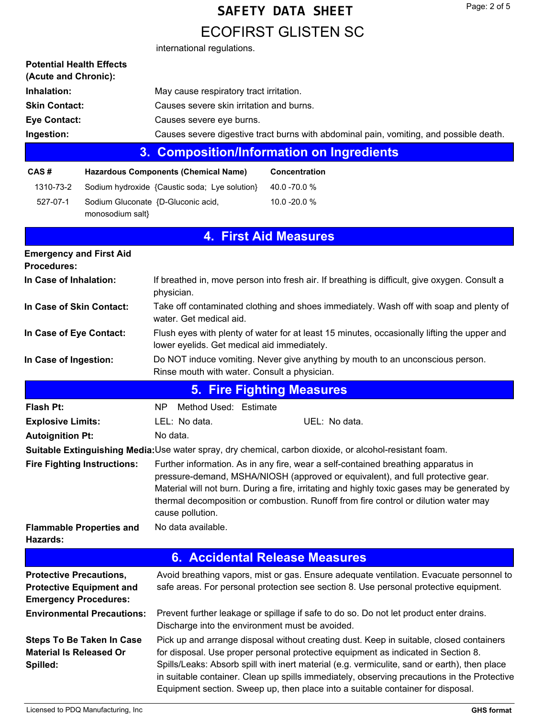# **ECOFIRST GLISTEN SC SAFETY DATA SHEET** international regulations.

| <b>Potential Health Effects</b><br>(Acute and Chronic):                                           |                                   |                                                                                                                                                                                                                                                                                                                                                                                                                                                                |                                                                                                        |  |
|---------------------------------------------------------------------------------------------------|-----------------------------------|----------------------------------------------------------------------------------------------------------------------------------------------------------------------------------------------------------------------------------------------------------------------------------------------------------------------------------------------------------------------------------------------------------------------------------------------------------------|--------------------------------------------------------------------------------------------------------|--|
| Inhalation:                                                                                       |                                   | May cause respiratory tract irritation.                                                                                                                                                                                                                                                                                                                                                                                                                        |                                                                                                        |  |
| <b>Skin Contact:</b>                                                                              |                                   | Causes severe skin irritation and burns.                                                                                                                                                                                                                                                                                                                                                                                                                       |                                                                                                        |  |
| <b>Eye Contact:</b>                                                                               |                                   | Causes severe eye burns.                                                                                                                                                                                                                                                                                                                                                                                                                                       |                                                                                                        |  |
| Ingestion:                                                                                        |                                   |                                                                                                                                                                                                                                                                                                                                                                                                                                                                | Causes severe digestive tract burns with abdominal pain, vomiting, and possible death.                 |  |
|                                                                                                   | 3.                                |                                                                                                                                                                                                                                                                                                                                                                                                                                                                | <b>Composition/Information on Ingredients</b>                                                          |  |
| CAS#                                                                                              |                                   | <b>Hazardous Components (Chemical Name)</b>                                                                                                                                                                                                                                                                                                                                                                                                                    | Concentration                                                                                          |  |
| 1310-73-2                                                                                         |                                   | Sodium hydroxide {Caustic soda; Lye solution}                                                                                                                                                                                                                                                                                                                                                                                                                  | 40.0 -70.0 %                                                                                           |  |
| 527-07-1                                                                                          | monosodium salt}                  | Sodium Gluconate {D-Gluconic acid,                                                                                                                                                                                                                                                                                                                                                                                                                             | 10.0 -20.0 %                                                                                           |  |
|                                                                                                   |                                   |                                                                                                                                                                                                                                                                                                                                                                                                                                                                | <b>4. First Aid Measures</b>                                                                           |  |
| <b>Emergency and First Aid</b><br><b>Procedures:</b>                                              |                                   |                                                                                                                                                                                                                                                                                                                                                                                                                                                                |                                                                                                        |  |
| In Case of Inhalation:                                                                            |                                   | physician.                                                                                                                                                                                                                                                                                                                                                                                                                                                     | If breathed in, move person into fresh air. If breathing is difficult, give oxygen. Consult a          |  |
| In Case of Skin Contact:                                                                          |                                   | water. Get medical aid.                                                                                                                                                                                                                                                                                                                                                                                                                                        | Take off contaminated clothing and shoes immediately. Wash off with soap and plenty of                 |  |
| In Case of Eye Contact:                                                                           |                                   | lower eyelids. Get medical aid immediately.                                                                                                                                                                                                                                                                                                                                                                                                                    | Flush eyes with plenty of water for at least 15 minutes, occasionally lifting the upper and            |  |
| In Case of Ingestion:                                                                             |                                   | Do NOT induce vomiting. Never give anything by mouth to an unconscious person.<br>Rinse mouth with water. Consult a physician.                                                                                                                                                                                                                                                                                                                                 |                                                                                                        |  |
|                                                                                                   |                                   |                                                                                                                                                                                                                                                                                                                                                                                                                                                                | <b>5. Fire Fighting Measures</b>                                                                       |  |
| <b>Flash Pt:</b>                                                                                  |                                   | Method Used: Estimate<br>NP.                                                                                                                                                                                                                                                                                                                                                                                                                                   |                                                                                                        |  |
| <b>Explosive Limits:</b>                                                                          |                                   | UEL: No data.<br>LEL: No data.                                                                                                                                                                                                                                                                                                                                                                                                                                 |                                                                                                        |  |
| <b>Autoignition Pt:</b>                                                                           |                                   | No data.                                                                                                                                                                                                                                                                                                                                                                                                                                                       |                                                                                                        |  |
|                                                                                                   |                                   |                                                                                                                                                                                                                                                                                                                                                                                                                                                                | Suitable Extinguishing Media:Use water spray, dry chemical, carbon dioxide, or alcohol-resistant foam. |  |
| <b>Fire Fighting Instructions:</b>                                                                |                                   | Further information. As in any fire, wear a self-contained breathing apparatus in<br>pressure-demand, MSHA/NIOSH (approved or equivalent), and full protective gear.<br>Material will not burn. During a fire, irritating and highly toxic gases may be generated by<br>thermal decomposition or combustion. Runoff from fire control or dilution water may<br>cause pollution.                                                                                |                                                                                                        |  |
| <b>Flammable Properties and</b><br>Hazards:                                                       |                                   | No data available.                                                                                                                                                                                                                                                                                                                                                                                                                                             |                                                                                                        |  |
|                                                                                                   |                                   |                                                                                                                                                                                                                                                                                                                                                                                                                                                                | <b>6. Accidental Release Measures</b>                                                                  |  |
| <b>Protective Precautions,</b><br><b>Protective Equipment and</b><br><b>Emergency Procedures:</b> |                                   | Avoid breathing vapors, mist or gas. Ensure adequate ventilation. Evacuate personnel to<br>safe areas. For personal protection see section 8. Use personal protective equipment.                                                                                                                                                                                                                                                                               |                                                                                                        |  |
|                                                                                                   | <b>Environmental Precautions:</b> | Prevent further leakage or spillage if safe to do so. Do not let product enter drains.<br>Discharge into the environment must be avoided.                                                                                                                                                                                                                                                                                                                      |                                                                                                        |  |
| <b>Steps To Be Taken In Case</b><br><b>Material Is Released Or</b><br>Spilled:                    |                                   | Pick up and arrange disposal without creating dust. Keep in suitable, closed containers<br>for disposal. Use proper personal protective equipment as indicated in Section 8.<br>Spills/Leaks: Absorb spill with inert material (e.g. vermiculite, sand or earth), then place<br>in suitable container. Clean up spills immediately, observing precautions in the Protective<br>Equipment section. Sweep up, then place into a suitable container for disposal. |                                                                                                        |  |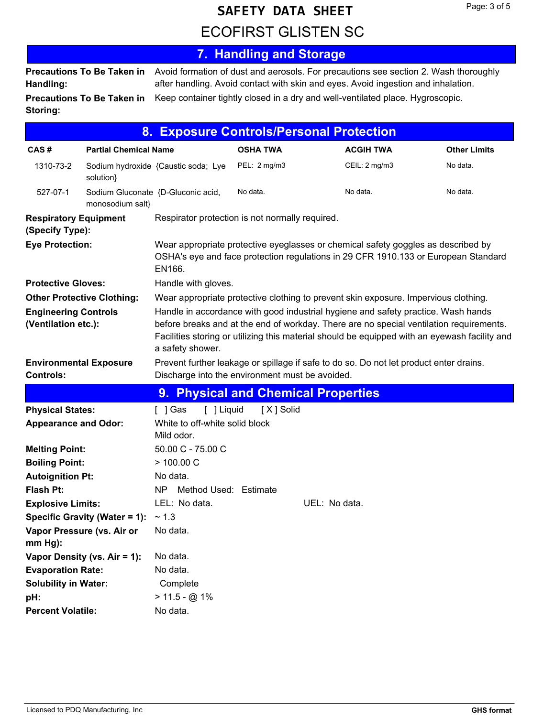# **ECOFIRST GLISTEN SC SAFETY DATA SHEET**

#### **7. Handling and Storage** Avoid formation of dust and aerosols. For precautions see section 2. Wash thoroughly after handling. Avoid contact with skin and eyes. Avoid ingestion and inhalation. **Precautions To Be Taken in Handling: Precautions To Be Taken in** Keep container tightly closed in a dry and well-ventilated place. Hygroscopic. **Storing:**

|                                                    | 8. .                          | <b>Exposure Controls/Personal Protection</b>                                                                                                                                                                                                                                                      |                 |               |                  |                     |
|----------------------------------------------------|-------------------------------|---------------------------------------------------------------------------------------------------------------------------------------------------------------------------------------------------------------------------------------------------------------------------------------------------|-----------------|---------------|------------------|---------------------|
| CAS#                                               | <b>Partial Chemical Name</b>  |                                                                                                                                                                                                                                                                                                   | <b>OSHA TWA</b> |               | <b>ACGIH TWA</b> | <b>Other Limits</b> |
| 1310-73-2                                          | solution}                     | Sodium hydroxide {Caustic soda; Lye                                                                                                                                                                                                                                                               | PEL: 2 mg/m3    |               | CEIL: 2 mg/m3    | No data.            |
| 527-07-1                                           | monosodium salt}              | Sodium Gluconate {D-Gluconic acid,                                                                                                                                                                                                                                                                | No data.        |               | No data.         | No data.            |
| <b>Respiratory Equipment</b><br>(Specify Type):    |                               | Respirator protection is not normally required.                                                                                                                                                                                                                                                   |                 |               |                  |                     |
| <b>Eye Protection:</b>                             |                               | Wear appropriate protective eyeglasses or chemical safety goggles as described by<br>OSHA's eye and face protection regulations in 29 CFR 1910.133 or European Standard<br>EN166.                                                                                                                 |                 |               |                  |                     |
| <b>Protective Gloves:</b>                          |                               | Handle with gloves.                                                                                                                                                                                                                                                                               |                 |               |                  |                     |
| <b>Other Protective Clothing:</b>                  |                               | Wear appropriate protective clothing to prevent skin exposure. Impervious clothing.                                                                                                                                                                                                               |                 |               |                  |                     |
| <b>Engineering Controls</b><br>(Ventilation etc.): |                               | Handle in accordance with good industrial hygiene and safety practice. Wash hands<br>before breaks and at the end of workday. There are no special ventilation requirements.<br>Facilities storing or utilizing this material should be equipped with an eyewash facility and<br>a safety shower. |                 |               |                  |                     |
| <b>Environmental Exposure</b><br><b>Controls:</b>  |                               | Prevent further leakage or spillage if safe to do so. Do not let product enter drains.<br>Discharge into the environment must be avoided.                                                                                                                                                         |                 |               |                  |                     |
|                                                    |                               | 9. Physical and Chemical Properties                                                                                                                                                                                                                                                               |                 |               |                  |                     |
| <b>Physical States:</b>                            |                               | [ ] Liquid<br>[ ] Gas                                                                                                                                                                                                                                                                             | [X] Solid       |               |                  |                     |
| <b>Appearance and Odor:</b>                        |                               | White to off-white solid block<br>Mild odor.                                                                                                                                                                                                                                                      |                 |               |                  |                     |
| <b>Melting Point:</b>                              |                               | 50.00 C - 75.00 C                                                                                                                                                                                                                                                                                 |                 |               |                  |                     |
| <b>Boiling Point:</b>                              |                               | > 100.00 C                                                                                                                                                                                                                                                                                        |                 |               |                  |                     |
| <b>Autoignition Pt:</b>                            |                               | No data.                                                                                                                                                                                                                                                                                          |                 |               |                  |                     |
| Flash Pt:                                          |                               | <b>NP</b><br>Method Used: Estimate                                                                                                                                                                                                                                                                |                 |               |                  |                     |
| <b>Explosive Limits:</b>                           |                               | LEL: No data.                                                                                                                                                                                                                                                                                     |                 | UEL: No data. |                  |                     |
|                                                    | Specific Gravity (Water = 1): | ~1.3                                                                                                                                                                                                                                                                                              |                 |               |                  |                     |
| Vapor Pressure (vs. Air or<br>$mm Hg$ :            |                               | No data.                                                                                                                                                                                                                                                                                          |                 |               |                  |                     |
|                                                    | Vapor Density (vs. Air = 1):  | No data.                                                                                                                                                                                                                                                                                          |                 |               |                  |                     |
| <b>Evaporation Rate:</b>                           |                               | No data.                                                                                                                                                                                                                                                                                          |                 |               |                  |                     |
| <b>Solubility in Water:</b>                        |                               | Complete                                                                                                                                                                                                                                                                                          |                 |               |                  |                     |
| pH:                                                |                               | $> 11.5 - @ 1\%$                                                                                                                                                                                                                                                                                  |                 |               |                  |                     |
| <b>Percent Volatile:</b>                           |                               | No data.                                                                                                                                                                                                                                                                                          |                 |               |                  |                     |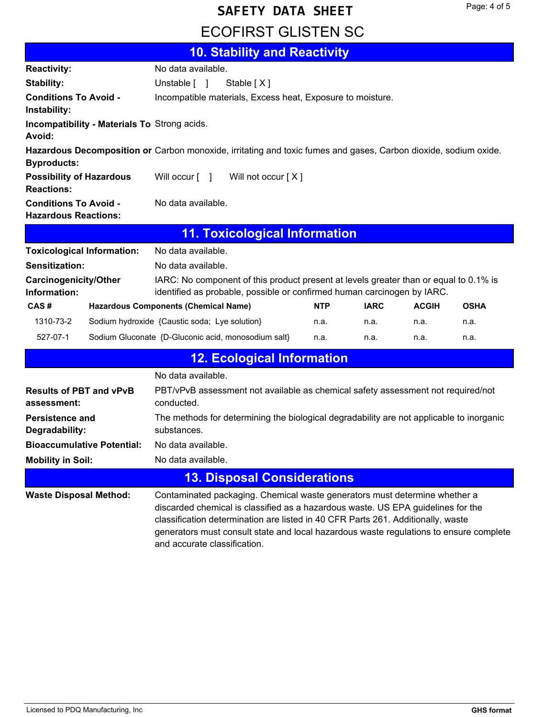# **ECOFIRST GLISTEN SC SAFETY DATA SHEET**

|                                                                                                                                       | 10. Stability and Reactivity                               |  |  |  |  |
|---------------------------------------------------------------------------------------------------------------------------------------|------------------------------------------------------------|--|--|--|--|
| <b>Reactivity:</b>                                                                                                                    | No data available.                                         |  |  |  |  |
| Stability:                                                                                                                            | Unstable [ ]<br>Stable $[X]$                               |  |  |  |  |
| <b>Conditions To Avoid -</b><br>Instability:                                                                                          | Incompatible materials, Excess heat, Exposure to moisture. |  |  |  |  |
| Avoid:                                                                                                                                | <b>Incompatibility - Materials To Strong acids.</b>        |  |  |  |  |
| Hazardous Decomposition or Carbon monoxide, irritating and toxic fumes and gases, Carbon dioxide, sodium oxide.<br><b>Byproducts:</b> |                                                            |  |  |  |  |
| <b>Possibility of Hazardous</b><br><b>Reactions:</b>                                                                                  | Will not occur $[X]$<br>Will occur [ ]                     |  |  |  |  |
| <b>Conditions To Avoid -</b><br><b>Hazardous Reactions:</b>                                                                           | No data available.                                         |  |  |  |  |
| <b>11. Toxicological Information</b>                                                                                                  |                                                            |  |  |  |  |

|                                              | <b>Toxicological Information:</b> | No data available.                                                                                                                                               |            |             |              |             |
|----------------------------------------------|-----------------------------------|------------------------------------------------------------------------------------------------------------------------------------------------------------------|------------|-------------|--------------|-------------|
| Sensitization:                               |                                   | No data available.                                                                                                                                               |            |             |              |             |
| <b>Carcinogenicity/Other</b><br>Information: |                                   | IARC: No component of this product present at levels greater than or equal to 0.1% is<br>identified as probable, possible or confirmed human carcinogen by IARC. |            |             |              |             |
| CAS#                                         |                                   | <b>Hazardous Components (Chemical Name)</b>                                                                                                                      | <b>NTP</b> | <b>IARC</b> | <b>ACGIH</b> | <b>OSHA</b> |
| 1310-73-2                                    |                                   | Sodium hydroxide {Caustic soda; Lye solution}                                                                                                                    | n.a.       | n.a.        | n.a.         | n.a.        |
| 527-07-1                                     |                                   | Sodium Gluconate {D-Gluconic acid, monosodium salt}                                                                                                              | n.a.       | n.a.        | n.a.         | n.a.        |

|                                               | <b>12. Ecological Information</b>                                                                                                                                                                                                                                                                                                                                            |  |  |  |  |
|-----------------------------------------------|------------------------------------------------------------------------------------------------------------------------------------------------------------------------------------------------------------------------------------------------------------------------------------------------------------------------------------------------------------------------------|--|--|--|--|
|                                               | No data available.                                                                                                                                                                                                                                                                                                                                                           |  |  |  |  |
| <b>Results of PBT and vPvB</b><br>assessment: | PBT/vPvB assessment not available as chemical safety assessment not required/not<br>conducted.                                                                                                                                                                                                                                                                               |  |  |  |  |
| Persistence and<br>Degradability:             | The methods for determining the biological degradability are not applicable to inorganic<br>substances.                                                                                                                                                                                                                                                                      |  |  |  |  |
| <b>Bioaccumulative Potential:</b>             | No data available.                                                                                                                                                                                                                                                                                                                                                           |  |  |  |  |
| <b>Mobility in Soil:</b>                      | No data available.                                                                                                                                                                                                                                                                                                                                                           |  |  |  |  |
|                                               | <b>13. Disposal Considerations</b>                                                                                                                                                                                                                                                                                                                                           |  |  |  |  |
| <b>Waste Disposal Method:</b>                 | Contaminated packaging. Chemical waste generators must determine whether a<br>discarded chemical is classified as a hazardous waste. US EPA guidelines for the<br>classification determination are listed in 40 CFR Parts 261. Additionally, waste<br>generators must consult state and local hazardous waste regulations to ensure complete<br>and accurate classification. |  |  |  |  |